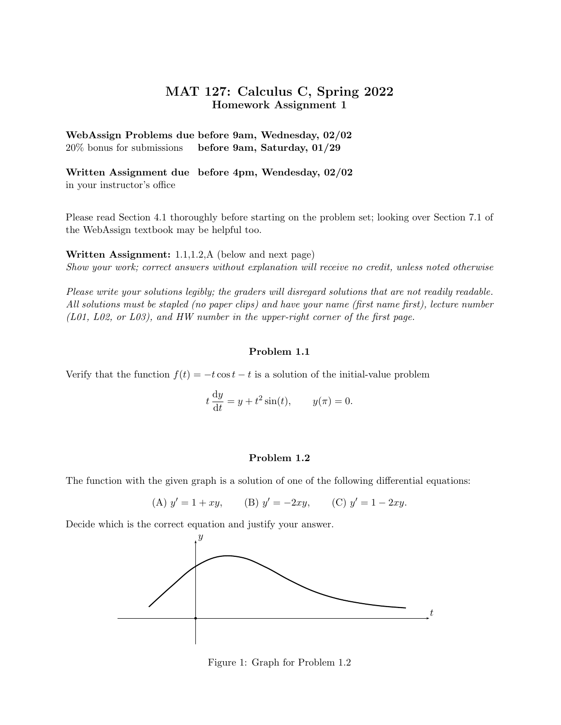## MAT 127: Calculus C, Spring 2022 Homework Assignment 1

WebAssign Problems due before 9am, Wednesday, 02/02 20% bonus for submissions before 9am, Saturday, 01/29

Written Assignment due before 4pm, Wendesday, 02/02 in your instructor's office

Please read Section 4.1 thoroughly before starting on the problem set; looking over Section 7.1 of the WebAssign textbook may be helpful too.

Written Assignment: 1.1,1.2,A (below and next page) Show your work; correct answers without explanation will receive no credit, unless noted otherwise

Please write your solutions legibly; the graders will disregard solutions that are not readily readable. All solutions must be stapled (no paper clips) and have your name (first name first), lecture number (L01, L02, or L03), and HW number in the upper-right corner of the first page.

## Problem 1.1

Verify that the function  $f(t) = -t \cos t - t$  is a solution of the initial-value problem

$$
t\frac{\mathrm{d}y}{\mathrm{d}t} = y + t^2 \sin(t), \qquad y(\pi) = 0.
$$

## Problem 1.2

The function with the given graph is a solution of one of the following differential equations:

(A) 
$$
y' = 1 + xy
$$
, (B)  $y' = -2xy$ , (C)  $y' = 1 - 2xy$ .

Decide which is the correct equation and justify your answer.



Figure 1: Graph for Problem 1.2